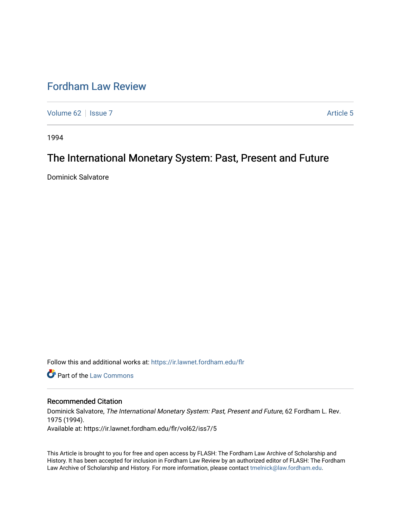# [Fordham Law Review](https://ir.lawnet.fordham.edu/flr)

[Volume 62](https://ir.lawnet.fordham.edu/flr/vol62) | [Issue 7](https://ir.lawnet.fordham.edu/flr/vol62/iss7) Article 5

1994

# The International Monetary System: Past, Present and Future

Dominick Salvatore

Follow this and additional works at: [https://ir.lawnet.fordham.edu/flr](https://ir.lawnet.fordham.edu/flr?utm_source=ir.lawnet.fordham.edu%2Fflr%2Fvol62%2Fiss7%2F5&utm_medium=PDF&utm_campaign=PDFCoverPages)

Part of the [Law Commons](http://network.bepress.com/hgg/discipline/578?utm_source=ir.lawnet.fordham.edu%2Fflr%2Fvol62%2Fiss7%2F5&utm_medium=PDF&utm_campaign=PDFCoverPages)

## Recommended Citation

Dominick Salvatore, The International Monetary System: Past, Present and Future, 62 Fordham L. Rev. 1975 (1994). Available at: https://ir.lawnet.fordham.edu/flr/vol62/iss7/5

This Article is brought to you for free and open access by FLASH: The Fordham Law Archive of Scholarship and History. It has been accepted for inclusion in Fordham Law Review by an authorized editor of FLASH: The Fordham Law Archive of Scholarship and History. For more information, please contact [tmelnick@law.fordham.edu](mailto:tmelnick@law.fordham.edu).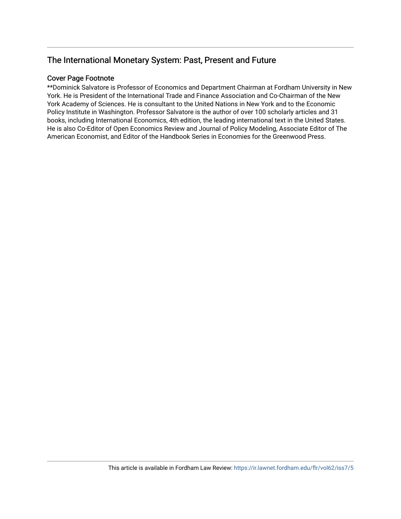# The International Monetary System: Past, Present and Future

## Cover Page Footnote

\*\*Dominick Salvatore is Professor of Economics and Department Chairman at Fordham University in New York. He is President of the International Trade and Finance Association and Co-Chairman of the New York Academy of Sciences. He is consultant to the United Nations in New York and to the Economic Policy Institute in Washington. Professor Salvatore is the author of over 100 scholarly articles and 31 books, including International Economics, 4th edition, the leading international text in the United States. He is also Co-Editor of Open Economics Review and Journal of Policy Modeling, Associate Editor of The American Economist, and Editor of the Handbook Series in Economies for the Greenwood Press.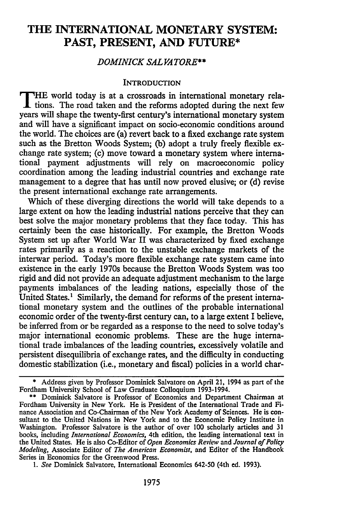# **THE INTERNATIONAL MONETARY SYSTEM: PAST, PRESENT, AND FUTURE\***

## *DOMINICK SAL VA TORE\*\**

#### **INTRODUCTION**

TrHE world today is at a crossroads in international monetary rela-*X* tions. The road taken and the reforms adopted during the next few years will shape the twenty-first century's international monetary system and will have a significant impact on socio-economic conditions around the world. The choices are (a) revert back to a fixed exchange rate system such as the Bretton Woods System; (b) adopt a truly freely flexible exchange rate system; (c) move toward a monetary system where international payment adjustments will rely on macroeconomic policy coordination among the leading industrial countries and exchange rate management to a degree that has until now proved elusive; or (d) revise the present international exchange rate arrangements.

Which of these diverging directions the world will take depends to a large extent on how the leading industrial nations perceive that they can best solve the major monetary problems that they face today. This has certainly been the case historically. For example, the Bretton Woods System set up after World War II was characterized by fixed exchange rates primarily as a reaction to the unstable exchange markets of the interwar period. Today's more flexible exchange rate system came into existence in the early 1970s because the Bretton Woods System was too rigid and did not provide an adequate adjustment mechanism to the large payments imbalances of the leading nations, especially those of the United States.' Similarly, the demand for reforms of the present international monetary system and the outlines of the probable international economic order of the twenty-first century can, to a large extent I believe, be inferred from or be regarded as a response to the need to solve today's major international economic problems. These are the huge international trade imbalances of the leading countries, excessively volatile and persistent disequilibria of exchange rates, and the difficulty in conducting domestic stabilization (i.e., monetary and fiscal) policies in a world char-

*1. See* Dominick Salvatore, International Economics 642-50 (4th ed. 1993).

<sup>\*</sup> Address given by Professor Dominick Salvatore on April 21, 1994 as part of the Fordham University School of Law Graduate Colloquium 1993-1994.

<sup>\*\*</sup> Dominick Salvatore is Professor of Economics and Department Chairman at Fordham University in New York. He is President of the International Trade and Finance Association and Co-Chairman of the New York Academy of Sciences. He is con-<br>sultant to the United Nations in New York and to the Economic Policy Institute in Washington. Professor Salvatore is the author of over **100** scholarly articles and 31 books, including *International Economics,* 4th edition, the leading international text in the United States. He is also Co-Editor of *Open Economics Review and Journal of Policy Modeling,* Associate Editor of *The American Economist,* and Editor of the Handbook Series in Economics for the Greenwood Press.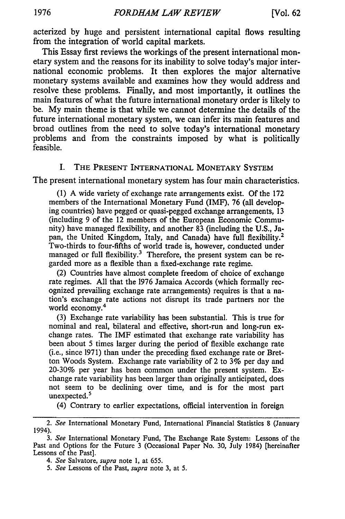acterized by huge and persistent international capital flows resulting from the integration of world capital markets.

This Essay first reviews the workings of the present international monetary system and the reasons for its inability to solve today's major international economic problems. It then explores the major alternative monetary systems available and examines how they would address and resolve these problems. Finally, and most importantly, it outlines the main features of what the future international monetary order is likely to be. My main theme is that while we cannot determine the details of the future international monetary system, we can infer its main features and broad outlines from the need to solve today's international monetary problems and from the constraints imposed by what is politically feasible.

#### I. THE PRESENT INTERNATIONAL MONETARY SYSTEM

The present international monetary system has four main characteristics.

(1) A wide variety of exchange rate arrangements exist. Of the 172 members of the International Monetary Fund (IMF), 76 (all developing countries) have pegged or quasi-pegged exchange arrangements, 13 (including 9 of the 12 members of the European Economic Community) have managed flexibility, and another 83 (including the U.S., Japan, the United Kingdom, Italy, and Canada) have full flexibility.<sup>2</sup> Two-thirds to four-fifths of world trade is, however, conducted under managed or full flexibility.<sup>3</sup> Therefore, the present system can be regarded more as a flexible than a fixed-exchange rate regime.

(2) Countries have almost complete freedom of choice of exchange rate regimes. All that the 1976 Jamaica Accords (which formally recognized prevailing exchange rate arrangements) requires is that a nation's exchange rate actions not disrupt its trade partners nor the world economy.

(3) Exchange rate variability has been substantial. This is true for nominal and real, bilateral and effective, short-run and long-run exchange rates. The IMF estimated that exchange rate variability has been about 5 times larger during the period of flexible exchange rate (i.e., since 1971) than under the preceding fixed exchange rate or Bretton Woods System. Exchange rate variability of 2 to 3% per day and 20-30% per year has been common under the present system. Exchange rate variability has been larger than originally anticipated, does not seem to be declining over time, and is for the most part unexpected.<sup>5</sup>

(4) Contrary to earlier expectations, official intervention in foreign

*<sup>2.</sup> See* International Monetary Fund, International Financial Statistics 8 (January 1994).

<sup>3.</sup> *See* International Monetary Fund, The Exchange Rate System: Lessons of the Past and Options for the Future 3 (Occasional Paper No. 30, July 1984) [hereinafter Lessons of the Past].

*<sup>4.</sup> See* Salvatore, *supra* note 1, at 655.

*<sup>5.</sup> See* Lessons of the Past, *supra* note 3, at 5.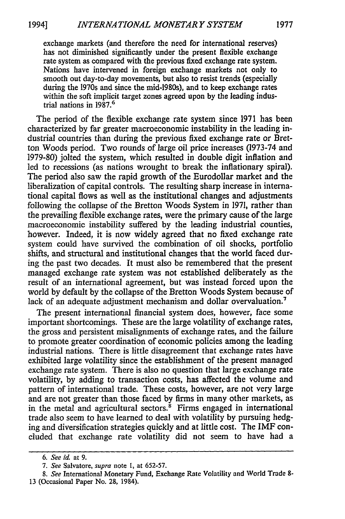exchange markets (and therefore the need for international reserves) has not diminished significantly under the present flexible exchange rate system as compared with the previous fixed exchange rate system. Nations have intervened in foreign exchange markets not only to smooth out day-to-day movements, but also to resist trends (especially during the 1970s and since the mid-1980s), and to keep exchange rates within the soft implicit target zones agreed upon by the leading industrial nations in **1987.6**

The period of the flexible exchange rate system since 1971 has been characterized by far greater macroeconomic instability in the leading industrial countries than during the previous fixed exchange rate or Bretton Woods period. Two rounds of large oil price increases (1973-74 and 1979-80) jolted the system, which resulted in double digit inflation and led to recessions (as nations wrought to break the inflationary spiral). The period also saw the rapid growth of the Eurodollar market and the liberalization of capital controls. The resulting sharp increase in international capital flows as well as the institutional changes and adjustments following the collapse of the Bretton Woods System in 1971, rather than the prevailing flexible exchange rates, were the primary cause of the large macroeconomic instability suffered by the leading industrial counties, however. Indeed, it is now widely agreed that no fixed exchange rate system could have survived the combination of oil shocks, portfolio shifts, and structural and institutional changes that the world faced during the past two decades. It must also be remembered that the present managed exchange rate system was not established deliberately as the result of an international agreement, but was instead forced upon the world by default by the collapse of the Bretton Woods System because of lack of an adequate adjustment mechanism and dollar overvaluation.<sup>7</sup>

The present international financial system does, however, face some important shortcomings. These are the large volatility of exchange rates, the gross and persistent misalignments of exchange rates, and the failure to promote greater coordination of economic policies among the leading industrial nations. There is little disagreement that exchange rates have exhibited large volatility since the establishment of the present managed exchange rate system. There is also no question that large exchange rate volatility, by adding to transaction costs, has affected the volume and pattern of international trade. These costs, however, are not very large and are not greater than those faced by firms in many other markets, as in the metal and agricultural sectors. $<sup>8</sup>$  Firms engaged in international</sup> trade also seem to have learned to deal with volatility by pursuing hedging and diversification strategies quickly and at little cost. The IMF concluded that exchange rate volatility did not seem to have had a

*<sup>6.</sup> See id.* at 9.

*<sup>7.</sup> See* Salvatore, *supra* note **1,** at 652-57.

*<sup>8.</sup> See* International Monetary Fund, Exchange Rate Volatility and World Trade 8- 13 (Occasional Paper No. 28, 1984).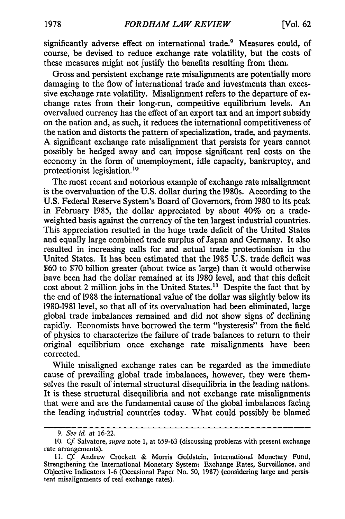significantly adverse effect on international trade.<sup>9</sup> Measures could, of course, be devised to reduce exchange rate volatility, but the costs of these measures might not justify the benefits resulting from them.

Gross and persistent exchange rate misalignments are potentially more damaging to the flow of international trade and investments than excessive exchange rate volatility. Misalignment refers to the departure of exchange rates from their long-run, competitive equilibrium levels. An overvalued currency has the effect of an export tax and an import subsidy on the nation and, as such, it reduces the international competitiveness of the nation and distorts the pattern of specialization, trade, and payments. A significant exchange rate misalignment that persists for years cannot possibly be hedged away and can impose significant real costs on the economy in the form of unemployment, idle capacity, bankruptcy, and protectionist legislation.10

The most recent and notorious example of exchange rate misalignment is the overvaluation of the U.S. dollar during the 1980s. According to the U.S. Federal Reserve System's Board of Governors, from 1980 to its peak in February 1985, the dollar appreciated by about 40% on a tradeweighted basis against the currency of the ten largest industrial countries. This appreciation resulted in the huge trade deficit of the United States and equally large combined trade surplus of Japan and Germany. It also resulted in increasing calls for and actual trade protectionism in the United States. It has been estimated that the 1985  $\hat{U}$ .S. trade deficit was \$60 to \$70 billion greater (about twice as large) than it would otherwise have been had the dollar remained at its 1980 level, and that this deficit cost about 2 million jobs in the United States.<sup>11</sup> Despite the fact that by the end of 1988 the international value of the dollar was slightly below its 1980-1981 level, so that all of its overvaluation had been eliminated, large global trade imbalances remained and did not show signs of declining rapidly. Economists have borrowed the term "hysteresis" from the field of physics to characterize the failure of trade balances to return to their original equilibrium once exchange rate misalignments have been corrected.

While misaligned exchange rates can be regarded as the immediate cause of prevailing global trade imbalances, however, they were themselves the result of internal structural disequilibria in the leading nations. It is these structural disequilibria and not exchange rate misalignments that were and are the fundamental cause of the global imbalances facing the leading industrial countries today. What could possibly be blamed

*<sup>9.</sup> See id.* at 16-22.

<sup>10.</sup> *Cf.* Salvatore, *supra* note 1, at 659-63 (discussing problems with present exchange rate arrangements).

*<sup>11.</sup> Cf* Andrew Crockett & Morris Goldstein, International Monetary Fund, Strengthening the International Monetary System: Exchange Rates, Surveillance, and Objective Indicators 1-6 (Occasional Paper No. 50, 1987) (considering large and persis. tent misalignments of real exchange rates).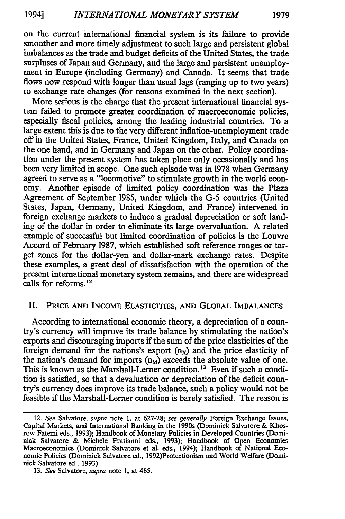on the current international financial system is its failure to provide smoother and more timely adjustment to such large and persistent global imbalances as the trade and budget deficits of the United States, the trade surpluses of Japan and Germany, and the large and persistent unemployment in Europe (including Germany) and Canada. It seems that trade flows now respond with longer than usual lags (ranging up to two years) to exchange rate changes (for reasons examined in the next section).

More serious is the charge that the present international financial system failed to promote greater coordination of macroeconomic policies, especially fiscal policies, among the leading industrial countries. To a large extent this is due to the very different inflation-unemployment trade off in the United States, France, United Kingdom, Italy, and Canada on the one hand, and in Germany and Japan on the other. Policy coordination under the present system has taken place only occasionally and has been very limited in scope. One such episode was in 1978 when Germany agreed to serve as a "locomotive" to stimulate growth in the world economy. Another episode of limited policy coordination was the Plaza Agreement of September 1985, under which the G-5 countries (United States, Japan, Germany, United Kingdom, and France) intervened in foreign exchange markets to induce a gradual depreciation or soft landing of the dollar in order to eliminate its large overvaluation. A related example of successful but limited coordination of policies is the Louvre Accord of February 1987, which established soft reference ranges or target zones for the dollar-yen and dollar-mark exchange rates. Despite these examples, a great deal of dissatisfaction with the operation of the present international monetary system remains, and there are widespread calls for reforms.<sup>12</sup>

#### II. PRICE **AND** INCOME ELASTICITIES, **AND** GLOBAL IMBALANCES

According to international economic theory, a depreciation of a country's currency will improve its trade balance by stimulating the nation's exports and discouraging imports if the sum of the price elasticities of the foreign demand for the nations's export  $(n_x)$  and the price elasticity of the nation's demand for imports  $(n_M)$  exceeds the absolute value of one. This is known as the Marshall-Lerner condition.<sup>13</sup> Even if such a condition is satisfied, so that a devaluation or depreciation of the deficit country's currency does improve its trade balance, such a policy would not be feasible if the Marshall-Lerner condition is barely satisfied. The reason is

<sup>12.</sup> *See* Salvatore, *supra* note **1,** at 627-28; *see generally* Foreign Exchange Issues, Capital Markets, and International Banking in the 1990s (Dominick Salvatore & Khos- row Fatemi eds., 1993); Handbook of Monetary Policies in Developed Countries (Dominick Salvatore & Michele Fratianni eds., 1993); Handbook of Open Economies Macroeconomics (Dominick Salvatore et al. eds., 1994); Handbook of National Economic Policies (Dominick Salvatore ed., 1992)Protectionism and World Welfare (Dominick Salvatore ed., 1993).

<sup>13.</sup> *See* Salvatore, *supra* note **1,** at 465.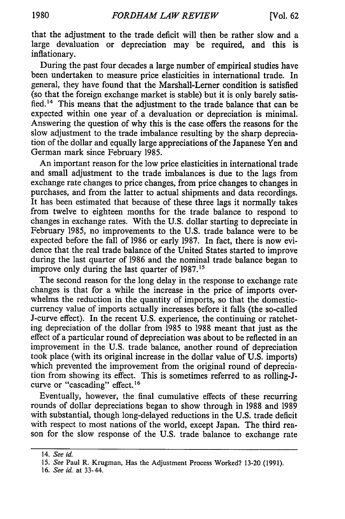that the adjustment to the trade deficit will then be rather slow and a large devaluation or depreciation may be required, and this is inflationary.

During the past four decades a large number of empirical studies have been undertaken to measure price elasticities in international trade. In general, they have found that the Marshall-Lerner condition is satisfied (so that the foreign exchange market is stable) but it is only barely satisfied.<sup>14</sup> This means that the adjustment to the trade balance that can be expected within one year of a devaluation or depreciation is minimal. Answering the question of why this is the case offers the reasons for the slow adjustment to the trade imbalance resulting **by** the sharp depreciation of the dollar and equally large appreciations of the Japanese Yen and German mark since February **1985.**

An important reason for the low price elasticities in international trade and small adjustment to the trade imbalances is due to the lags from exchange rate changes to price changes, from price changes to changes in purchases, and from the latter to actual shipments and data recordings. It has been estimated that because of these three lags it normally takes from twelve to eighteen months for the trade balance to respond to changes in exchange rates. With the **U.S.** dollar starting to depreciate in February **1985,** no improvements to the **U.S.** trade balance were to be expected before the fall of **1986** or early **1987.** In fact, there is now evidence that the real trade balance of the United States started to improve during the last quarter of **1986** and the nominal trade balance began to improve only during the last quarter of **1987.15**

The second reason for the long delay in the response to exchange rate changes is that for a while the increase in the price of imports overwhelms the reduction in the quantity of imports, so that the domesticcurrency value of imports actually increases before it falls (the so-called J-curve effect). In the recent **U.S.** experience, the continuing or ratcheting depreciation of the dollar from **1985** to **1988** meant that just as the effect of a particular round of depreciation was about to be reflected in an improvement in the **U.S.** trade balance, another round of depreciation took place (with its original increase in the dollar value of **U.S.** imports) which prevented the improvement from the original round of depreciation from showing its effect. This is sometimes referred to as rolling-Jcurve or "cascading" effect. <sup>16</sup>

Eventually, however, the final cumulative effects of these recurring rounds of dollar depreciations began to show through in **1988** and **<sup>1989</sup>** with substantial, though long-delayed reductions in the **U.S.** trade deficit with respect to most nations of the world, except Japan. The third reason for the slow response of the **U.S.** trade balance to exchange rate

*<sup>14.</sup> See id.*

**<sup>15.</sup>** *See* Paul R. Krugman, Has the Adjustment Process Worked? **13-20 (1991).**

**<sup>16.</sup>** *See id.* at 33-44.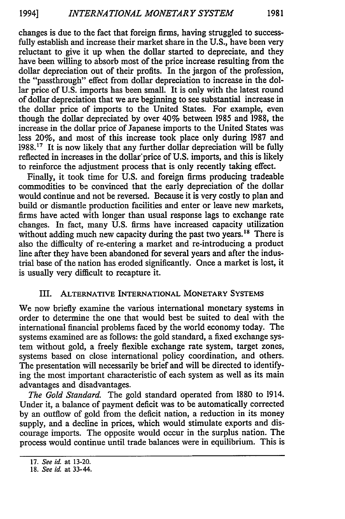changes is due to the fact that foreign firms, having struggled to successfully establish and increase their market share in the U.S., have been very reluctant to give it up when the dollar started to depreciate, and they have been willing to absorb most of the price increase resulting from the dollar depreciation out of their profits. In the jargon of the profession, the "passthrough" effect from dollar depreciation to increase in the dollar price of U.S. imports has been small. It is only with the latest round of dollar depreciation that we are beginning to see substantial increase in the dollar price of imports to the United States. For example, even though the dollar depreciated by over 40% between 1985 and 1988, the increase in the dollar price of Japanese imports to the United States was less 20%, and most of this increase took place only during 1987 and 1988.17 It is now likely that any further dollar depreciation will be fully reflected in increases in the dollar'price of U.S. imports, and this is likely to reinforce the adjustment process that is only recently taking effect.

Finally, it took time for U.S. and foreign firms producing tradeable commodities to be convinced that the early depreciation of the dollar would continue and not be reversed. Because it is very costly to plan and build or dismantle production facilities and enter or leave new markets, firms have acted with longer than usual response lags to exchange rate changes. In fact, many U.S. firms have increased capacity utilization without adding much new capacity during the past two years.<sup>18</sup> There is also the difficulty of re-entering a market and re-introducing a product line after they have been abandoned for several years and after the industrial base of the nation has eroded significantly. Once a market is lost, it is usually very difficult to recapture it.

### III. ALTERNATIVE INTERNATIONAL MONETARY SYSTEMS

We now briefly examine the various international monetary systems in order to determine the one that would best be suited to deal with the international financial problems faced by the world economy today. The systems examined are as follows: the gold standard, a fixed exchange system without gold, a freely flexible exchange rate system, target zones, systems based on close international policy coordination, and others. The presentation will necessarily be brief and will be directed to identifying the most important characteristic of each system as well as its main advantages and disadvantages.

*The Gold Standard.* The gold standard operated from 1880 to 1914. Under it, a balance of payment deficit was to be automatically corrected by an outflow of gold from the deficit nation, a reduction in its money supply, and a decline in prices, which would stimulate exports and discourage imports. The opposite would occur in the surplus nation. The process would continue until trade balances were in equilibrium. This is

<sup>17.</sup> *See id.* at 13-20.

<sup>18.</sup> *See id.* at 33-44.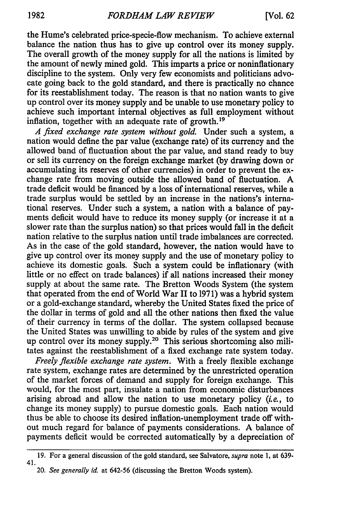the Hume's celebrated price-specie-flow mechanism. To achieve external balance the nation thus has to give up control over its money supply. The overall growth of the money supply for all the nations is limited by the amount of newly mined gold. This imparts a price or noninflationary discipline to the system. Only very few economists and politicians advocate going back to the gold standard, and there is practically no chance for its reestablishment today. The reason is that no nation wants to give up control over its money supply and be unable to use monetary policy to achieve such important internal objectives as full employment without inflation, together with an adequate rate of growth.<sup>19</sup>

*A fixed exchange rate system without gold.* Under such a system, a nation would define the par value (exchange rate) of its currency and the allowed band of fluctuation about the par value, and stand ready to buy or sell its currency on the foreign exchange market (by drawing down or accumulating its reserves of other currencies) in order to prevent the exchange rate from moving outside the allowed band of fluctuation. A trade deficit would be financed by a loss of international reserves, while a trade surplus would be settled by an increase in the nations's international reserves. Under such a system, a nation with a balance of payments deficit would have to reduce its money supply (or increase it at a slower rate than the surplus nation) so that prices would fall in the deficit nation relative to the surplus nation until trade imbalances are corrected. As in the case of the gold standard, however, the nation would have to give up control over its money supply and the use of monetary policy to achieve its domestic goals. Such a system could be inflationary (with little or no effect on trade balances) if all nations increased their money supply at about the same rate. The Bretton Woods System (the system that operated from the end of World War II to 1971) was a hybrid system or a gold-exchange standard, whereby the United States fixed the price of the dollar in terms of gold and all the other nations then fixed the value of their currency in terms of the dollar. The system collapsed because the United States was unwilling to abide by rules of the system and give up control over its money supply.20 This serious shortcoming also militates against the reestablishment of a fixed exchange rate system today.

*Freely flexible exchange rate system.* With a freely flexible exchange rate system, exchange rates are determined by the unrestricted operation of the market forces of demand and supply for foreign exchange. This would, for the most part, insulate a nation from economic disturbances arising abroad and allow the nation to use monetary policy *(i.e.,* to change its money supply) to pursue domestic goals. Each nation would thus be able to choose its desired inflation-unemployment trade off without much regard for balance of payments considerations. A balance of payments deficit would be corrected automatically by a depreciation of

<sup>19.</sup> For a general discussion of the gold standard, see Salvatore, *supra* note **1,** at 639- 41.

<sup>20.</sup> *See generally id.* at 642-56 (discussing the Bretton Woods system).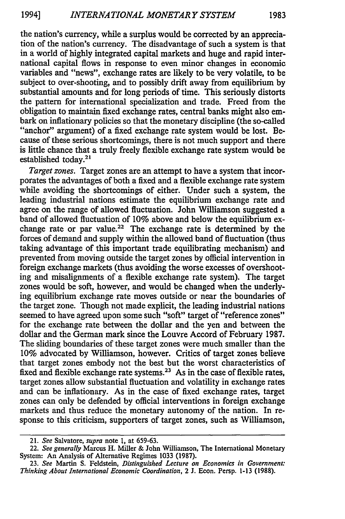the nation's currency, while a surplus would be corrected by an appreciation of the nation's currency. The disadvantage of such a system is that in a world of highly integrated capital markets and huge and rapid international capital flows in response to even minor changes in economic variables and "news", exchange rates are likely to be very volatile, to be subject to over-shooting, and to possibly drift away from equilibrium by substantial amounts and for long periods of time. This seriously distorts the pattern for international specialization and trade. Freed from the obligation to maintain fixed exchange rates, central banks might also embark on inflationary policies so that the monetary discipline (the so-called "anchor" argument) of a fixed exchange rate system would be lost. Because of these serious shortcomings, there is not much support and there is little chance that a truly freely flexible exchange rate system would be established today.<sup>21</sup>

*Target zones.* Target zones are an attempt to have a system that incorporates the advantages of both a fixed and a flexible exchange rate system while avoiding the shortcomings of either. Under such a system, the leading industrial nations estimate the equilibrium exchange rate and agree on the range of allowed fluctuation. John Williamson suggested a band of allowed fluctuation of **10%** above and below the equilibrium exchange rate or par value.<sup>22</sup> The exchange rate is determined by the forces of demand and supply within the allowed band of fluctuation (thus taking advantage of this important trade equilibrating mechanism) and prevented from moving outside the target zones by official intervention in foreign exchange markets (thus avoiding the worse excesses of overshooting and misalignments of a flexible exchange rate system). The target zones would be soft, however, and would be changed when the underlying equilibrium exchange rate moves outside or near the boundaries of the target zone. Though not made explicit, the leading industrial nations seemed to have agreed upon some such "soft" target of "reference zones" for the exchange rate between the dollar and the yen and between the dollar and the German mark since the Louvre Accord of February 1987. The sliding boundaries of these target zones were much smaller than the 10% advocated by Williamson, however. Critics of target zones believe that target zones embody not the best but the worst characteristics of fixed and flexible exchange rate systems.<sup>23</sup> As in the case of flexible rates, target zones allow substantial fluctuation and volatility in exchange rates and can be inflationary. As in the case of fixed exchange rates, target zones can only be defended by official interventions in foreign exchange markets and thus reduce the monetary autonomy of the nation. In response to this criticism, supporters of target zones, such as Williamson,

<sup>21.</sup> *See* Salvatore, *supra* note I, at 659-63.

<sup>22.</sup> *See generally* Marcus H. Miller & John Williamson, The International Monetary System: An Analysis of Alternative Regimes 1033 (1987).

<sup>23.</sup> *See* Martin S. Feldstein, *Distinguished Lecture on Economics in Government: Thinking About International Economic Coordination,* 2 J. Econ. Persp. 1-13 **(1988).**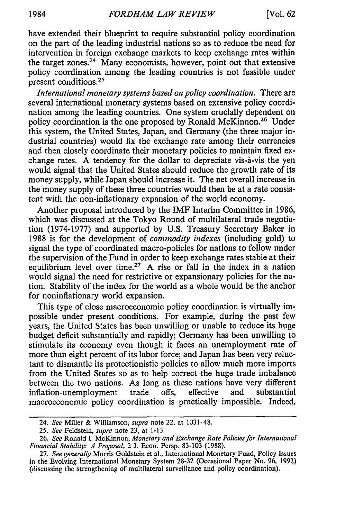have extended their blueprint to require substantial policy coordination on the part of the leading industrial nations so as to reduce the need for intervention in foreign exchange markets to keep exchange rates within the target zones.<sup>24</sup> Many economists, however, point out that extensive policy coordination among the leading countries is not feasible under present conditions.25

*International monetary systems based on policy coordination.* There are several international monetary systems based on extensive policy coordination among the leading countries. One system crucially dependent on policy coordination is the one proposed by Ronald McKinnon. 26 Under this system, the United States, Japan, and Germany (the three major industrial countries) would fix the exchange rate among their currencies and then closely coordinate their monetary policies to maintain fixed exchange rates. A tendency for the dollar to depreciate vis-a-vis the yen would signal that the United States should reduce the growth rate of its money supply, while Japan should increase it. The net overall increase in the money supply of these three countries would then be at a rate consistent with the non-inflationary expansion of the world economy.

Another proposal introduced by the IMF Interim Committee in 1986, which was discussed at the Tokyo Round of multilateral trade negotiation (1974-1977) and supported by U.S. Treasury Secretary Baker in 1988 is for the development of *commodity indexes* (including gold) to signal the type of coordinated macro-policies for nations to follow under the supervision of the Fund in order to keep exchange rates stable at their equilibrium level over time.<sup>27</sup> A rise or fall in the index in a nation would signal the need for restrictive or expansionary policies for the nation. Stability of the index for the world as a whole would be the anchor for noninflationary world expansion.

This type of close macroeconomic policy coordination is virtually impossible under present conditions. For example, during the past few years, the United States has been unwilling or unable to reduce its huge budget deficit substantially and rapidly; Germany has been unwilling to stimulate its economy even though it faces an unemployment rate of more than eight percent of its labor force; and Japan has been very reluctant to dismantle its protectionistic policies to allow much more imports from the United States so as to help correct the huge trade imbalance between the two nations. As long as these nations have very different inflation-unemployment trade offs, effective and substantial macroeconomic policy coordination is practically impossible. Indeed,

<sup>24.</sup> *See* Miller & Williamson, *supra* note 22, at 1031-48.

<sup>25.</sup> *See* Feldstein, *supra* note 23, at 1-13.

<sup>26.</sup> *See* Ronald **I.** McKinnon, *Monetary and Exchange Rate Policies for International Financial Stability: A Proposal,* 2 J. Econ. Persp. 83-103 (1988).

<sup>27.</sup> *See generally* Morris Goldstein et al., International Monetary Fund, Policy Issues in the Evolving International Monetary System 28-32 (Occasional Paper No. 96, 1992) (discussing the strengthening of multilateral surveillance and policy coordination).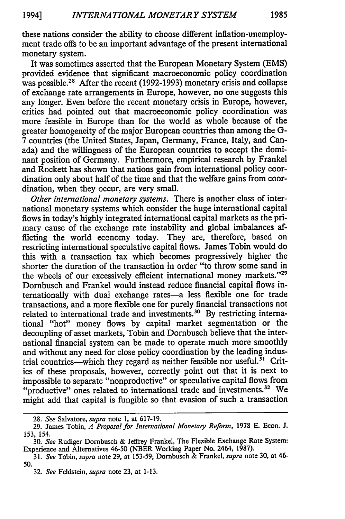these nations consider the ability to choose different inflation-unemployment trade offs to be an important advantage of the present international monetary system.

It was sometimes asserted that the European Monetary System (EMS) provided evidence that significant macroeconomic policy coordination was possible.<sup>28</sup> After the recent (1992-1993) monetary crisis and collapse of exchange rate arrangements in Europe, however, no one suggests this any longer. Even before the recent monetary crisis in Europe, however, critics had pointed out that macroeconomic policy coordination was more feasible in Europe than for the world as whole because of the greater homogeneity of the major European countries than among the G-7 countries (the United States, Japan, Germany, France, Italy, and Canada) and the willingness of the European countries to accept the dominant position of Germany. Furthermore, empirical research by Frankel and Rockett has shown that nations gain from international policy coordination only about half of the time and that the welfare gains from coordination, when they occur, are very small.

*Other international monetary systems.* There is another class of international monetary systems which consider the huge international capital flows in today's highly integrated international capital markets as the primary cause of the exchange rate instability and global imbalances afflicting the world economy today. They are, therefore, based on restricting international speculative capital flows. James Tobin would do this with a transaction tax which becomes progressively higher the shorter the duration of the transaction in order "to throw some sand in the wheels of our excessively efficient international money markets."<sup>29</sup> Dornbusch and Frankel would instead reduce financial capital flows internationally with dual exchange rates-a less flexible one for trade transactions, and a more flexible one for purely financial transactions not related to international trade and investments.30 By restricting international "hot" money flows by capital market segmentation or the decoupling of asset markets, Tobin and Dornbusch believe that the international financial system can be made to operate much more smoothly and without any need for close policy coordination by the leading industrial countries—which they regard as neither feasible nor useful.<sup>31</sup> Critics of these proposals, however, correctly point out that it is next to impossible to separate "nonproductive" or speculative capital flows from "productive" ones related to international trade and investments.<sup>32</sup> We might add that capital is fungible so that evasion of such a transaction

<sup>28.</sup> *See* Salvatore, *supra* note 1, at 617-19.

<sup>29.</sup> James Tobin, *A Proposal for International Monetary Reform,* 1978 E. Econ. **J.** 153, 154.

<sup>30.</sup> *See* Rudiger Dornbusch & Jeffrey Frankel, The Flexible Exchange Rate System: Experience and Alternatives 46-50 (NBER Working Paper No. 2464, 1987).

<sup>31.</sup> *See* Tobin, *supra* note 29, at 153-59; Dornbusch & Frankel, *supra* note 30, at 46- 50.

<sup>32.</sup> *See* Feldstein, *supra* note 23, at 1-13.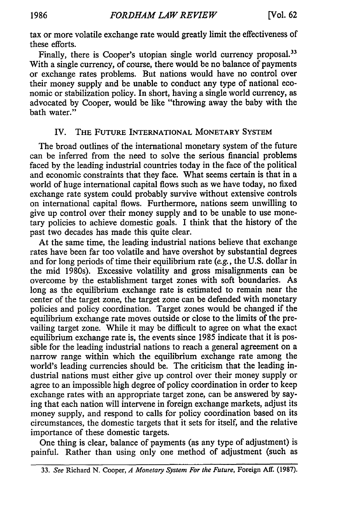tax or more volatile exchange rate would greatly limit the effectiveness of these efforts.

Finally, there is Cooper's utopian single world currency proposal.<sup>33</sup> With a single currency, of course, there would be no balance of payments or exchange rates problems. But nations would have no control over their money supply and be unable to conduct any type of national economic or stabilization policy. In short, having a single world currency, as advocated by Cooper, would be like "throwing away the baby with the bath water."

#### IV. THE FUTURE INTERNATIONAL MONETARY SYSTEM

The broad outlines of the international monetary system of the future can be inferred from the need to solve the serious financial problems faced **by** the leading industrial countries today in the face of the political and economic constraints that they face. What seems certain is that in a world of huge international capital flows such as we have today, no fixed exchange rate system could probably survive without extensive controls on international capital flows. Furthermore, nations seem unwilling to give up control over their money supply and to be unable to use monetary policies to achieve domestic goals. I think that the history of the past two decades has made this quite clear.

At the same time, the leading industrial nations believe that exchange rates have been far too volatile and have overshot **by** substantial degrees and for long periods of time their equilibrium rate (e.g., the U.S. dollar in the mid 1980s). Excessive volatility and gross misalignments can be overcome **by** the establishment target zones with soft boundaries. As long as the equilibrium exchange rate is estimated to remain near the center of the target zone, the target zone can be defended with monetary policies and policy coordination. Target zones would be changed if the equilibrium exchange rate moves outside or close to the limits of the prevailing target zone. While it may be difficult to agree on what the exact equilibrium exchange rate is, the events since 1985 indicate that it is possible for the leading industrial nations to reach a general agreement on a narrow range within which the equilibrium exchange rate among the world's leading currencies should be. The criticism that the leading industrial nations must either give up control over their money supply or agree to an impossible high degree of policy coordination in order to keep exchange rates with an appropriate target zone, can be answered **by** saying that each nation will intervene in foreign exchange markets, adjust its money supply, and respond to calls for policy coordination based on its circumstances, the domestic targets that it sets for itself, and the relative importance of these domestic targets.

One thing is clear, balance of payments (as any type of adjustment) is painful. Rather than using only one method of adjustment (such as

**<sup>33.</sup>** *See* Richard **N.** Cooper, *A Monetary System For the Future,* Foreign **Aff. (1987).**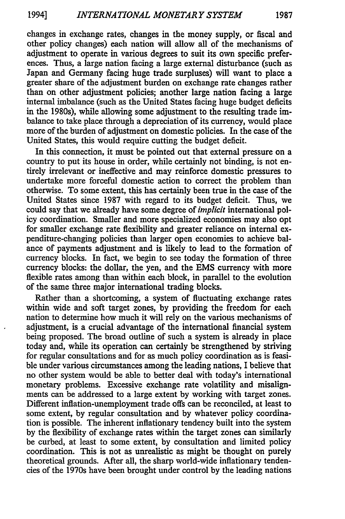changes in exchange rates, changes in the money supply, or fiscal and other policy changes) each nation will allow all of the mechanisms of adjustment to operate in various degrees to suit its own specific preferences. Thus, a large nation facing a large external disturbance (such as Japan and Germany facing huge trade surpluses) will want to place a greater share of the adjustment burden on exchange rate changes rather than on other adjustment policies; another large nation facing a large internal imbalance (such as the United States facing huge budget deficits in the 1980s), while allowing some adjustment to the resulting trade **im**balance to take place through a depreciation of its currency, would place more of the burden of adjustment on domestic policies. In the case of the United States, this would require cutting the budget deficit.

In this connection, it must be pointed out that external pressure on a country to put its house in order, while certainly not binding, is not entirely irrelevant or ineffective and may reinforce domestic pressures to undertake more forceful domestic action to correct the problem than otherwise. To some extent, this has certainly been true in the case of the United States since 1987 with regard to its budget deficit. Thus, we could say that we already have some degree of *implicit* international policy coordination. Smaller and more specialized economies may also opt for smaller exchange rate flexibility and greater reliance on internal expenditure-changing policies than larger open economies to achieve balance of payments adjustment and is likely to lead to the formation of currency blocks. In fact, we begin to see today the formation of three currency blocks: the dollar, the yen, and the EMS currency with more flexible rates among than within each block, in parallel to the evolution of the same three major international trading blocks.

Rather than a shortcoming, a system of fluctuating exchange rates within wide and soft target zones, by providing the freedom for each nation to determine how much it will rely on the various mechanisms of adjustment, is a crucial advantage of the international financial system being proposed. The broad outline of such a system is already in place today and, while its operation can certainly be strengthened by striving for regular consultations and for as much policy coordination as is feasible under various circumstances among the leading nations, I believe that no other system would be able to better deal with today's international monetary problems. Excessive exchange rate volatility and misalignments can be addressed to a large extent by working with target zones. Different inflation-unemployment trade offs can be reconciled, at least to some extent, by regular consultation and by whatever policy coordination is possible. The inherent inflationary tendency built into the system by the flexibility of exchange rates within the target zones can similarly be curbed, at least to some extent, by consultation and limited policy coordination. This is not as unrealistic as might be thought on purely theoretical grounds. After all, the sharp world-wide inflationary tendencies of the 1970s have been brought under control by the leading nations